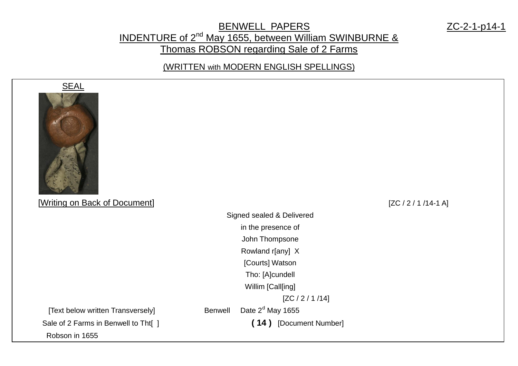### BENWELL PAPERS ZC-2-1-p14-1 INDENTURE of 2<sup>nd</sup> May 1655, between William SWINBURNE & Thomas ROBSON regarding Sale of 2 Farms

(WRITTEN with MODERN ENGLISH SPELLINGS)



## [Writing on Back of Document] [ZC / 2 / 1 /14-1 A]

Signed sealed & Delivered in the presence of John Thompsone Rowland r[any] X [Courts] Watson Tho: [A]cundell Willim [Call[ing] [ZC / 2 / 1 /14] [Text below written Transversely] Benwell Date  $2<sup>d</sup>$  May 1655 Sale of 2 Farms in Benwell to Tht[ ] **( 14 )** [Document Number] Robson in 1655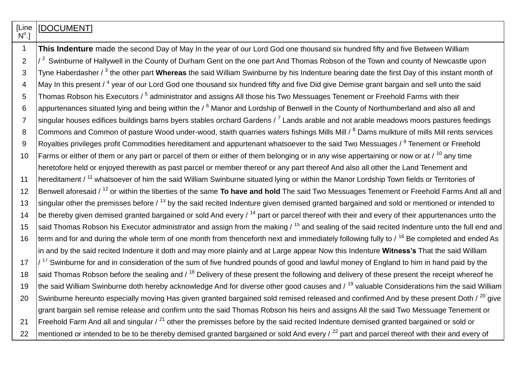| [Line<br>$N^{\circ}.$ ] | [DOCUMENT]                                                                                                                                               |
|-------------------------|----------------------------------------------------------------------------------------------------------------------------------------------------------|
| $\mathbf 1$             | This Indenture made the second Day of May In the year of our Lord God one thousand six hundred fifty and five Between William                            |
| $\overline{2}$          | $\sqrt{2}$ Swinburne of Hallywell in the County of Durham Gent on the one part And Thomas Robson of the Town and county of Newcastle upon                |
| 3                       | Tyne Haberdasher / <sup>3</sup> the other part Whereas the said William Swinburne by his Indenture bearing date the first Day of this instant month of   |
| $\overline{4}$          | May In this present / <sup>4</sup> year of our Lord God one thousand six hundred fifty and five Did give Demise grant bargain and sell unto the said     |
| 5                       | Thomas Robson his Executors / <sup>5</sup> administrator and assigns All those his Two Messuages Tenement or Freehold Farms with their                   |
| 6                       | appurtenances situated lying and being within the / <sup>6</sup> Manor and Lordship of Benwell in the County of Northumberland and also all and          |
| $\overline{7}$          | singular houses edifices buildings barns byers stables orchard Gardens / <sup>7</sup> Lands arable and not arable meadows moors pastures feedings        |
| 8                       | Commons and Common of pasture Wood under-wood, staith quarries waters fishings Mills Mill / <sup>8</sup> Dams mulkture of mills Mill rents services      |
| 9                       | Royalties privileges profit Commodities hereditament and appurtenant whatsoever to the said Two Messuages / <sup>9</sup> Tenement or Freehold            |
| 10                      | Farms or either of them or any part or parcel of them or either of them belonging or in any wise appertaining or now or at / <sup>10</sup> any time      |
|                         | heretofore held or enjoyed therewith as past parcel or member thereof or any part thereof And also all other the Land Tenement and                       |
| 11                      | hereditament / <sup>11</sup> whatsoever of him the said William Swinburne situated lying or within the Manor Lordship Town fields or Territories of      |
| 12                      | Benwell aforesaid / <sup>12</sup> or within the liberties of the same To have and hold The said Two Messuages Tenement or Freehold Farms And all and     |
| 13                      | singular other the premisses before / <sup>13</sup> by the said recited Indenture given demised granted bargained and sold or mentioned or intended to   |
| 14                      | be thereby given demised granted bargained or sold And every / <sup>14</sup> part or parcel thereof with their and every of their appurtenances unto the |
| 15                      | said Thomas Robson his Executor administrator and assign from the making / <sup>15</sup> and sealing of the said recited Indenture unto the full end and |
| 16                      | term and for and during the whole term of one month from thenceforth next and immediately following fully to / <sup>16</sup> Be completed and ended As   |
|                         | in and by the said recited Indenture it doth and may more plainly and at Large appear Now this Indenture Witness's That the said William                 |
| 17                      | $/$ <sup>17</sup> Swinburne for and in consideration of the sum of five hundred pounds of good and lawful money of England to him in hand paid by the    |
| 18                      | said Thomas Robson before the sealing and / <sup>18</sup> Delivery of these present the following and delivery of these present the receipt whereof he   |
| 19                      | the said William Swinburne doth hereby acknowledge And for diverse other good causes and / <sup>19</sup> valuable Considerations him the said William    |
| 20                      | Swinburne hereunto especially moving Has given granted bargained sold remised released and confirmed And by these present Doth / 20 give                 |
|                         | grant bargain sell remise release and confirm unto the said Thomas Robson his heirs and assigns All the said Two Messuage Tenement or                    |
| 21                      | Freehold Farm And all and singular / <sup>21</sup> other the premisses before by the said recited Indenture demised granted bargained or sold or         |
| 22                      | mentioned or intended to be to be thereby demised granted bargained or sold And every / <sup>22</sup> part and parcel thereof with their and every of    |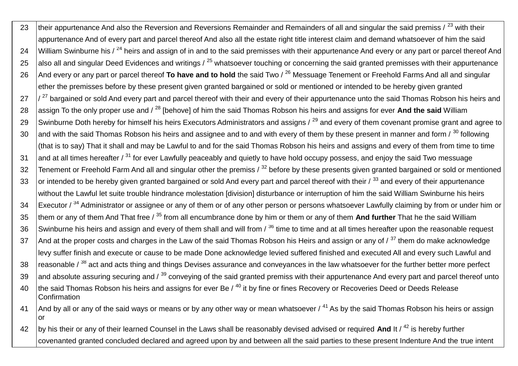23  $\,$  their appurtenance And also the Reversion and Reversions Remainder and Remainders of all and singular the said premiss /  $^{23}$  with their appurtenance And of every part and parcel thereof And also all the estate right title interest claim and demand whatsoever of him the said 24 William Swinburne his / <sup>24</sup> heirs and assign of in and to the said premisses with their appurtenance And every or any part or parcel thereof And 25 also all and singular Deed Evidences and writings  $\ell^{25}$  whatsoever touching or concerning the said granted premisses with their appurtenance 26 And every or any part or parcel thereof **To have and to hold** the said Two / <sup>26</sup> Messuage Tenement or Freehold Farms And all and singular ether the premisses before by these present given granted bargained or sold or mentioned or intended to be hereby given granted  $27$   $\frac{1}{27}$  bargained or sold And every part and parcel thereof with their and every of their appurtenance unto the said Thomas Robson his heirs and 28 assign To the only proper use and / <sup>28</sup> [behove] of him the said Thomas Robson his heirs and assigns for ever And the said William 29 Swinburne Doth hereby for himself his heirs Executors Administrators and assigns  $/29$  and every of them covenant promise grant and agree to 30 and with the said Thomas Robson his heirs and assignee and to and with every of them by these present in manner and form  $\frac{1}{20}$  following (that is to say) That it shall and may be Lawful to and for the said Thomas Robson his heirs and assigns and every of them from time to time 31 and at all times hereafter / <sup>31</sup> for ever Lawfully peaceably and quietly to have hold occupy possess, and enjoy the said Two messuage 32 Tenement or Freehold Farm And all and singular other the premiss / <sup>32</sup> before by these presents given granted bargained or sold or mentioned 33 or intended to be hereby given granted bargained or sold And every part and parcel thereof with their / 33 and every of their appurtenance without the Lawful let suite trouble hindrance molestation [division] disturbance or interruption of him the said William Swinburne his heirs 34 Executor / <sup>34</sup> Administrator or assignee or any of them or of any other person or persons whatsoever Lawfully claiming by from or under him or 35 them or any of them And That free / <sup>35</sup> from all encumbrance done by him or them or any of them **And further** That he the said William 36 Swinburne his heirs and assign and every of them shall and will from  $\beta^{36}$  time to time and at all times hereafter upon the reasonable request 37 And at the proper costs and charges in the Law of the said Thomas Robson his Heirs and assign or any of  $\frac{37}{10}$  them do make acknowledge levy suffer finish and execute or cause to be made Done acknowledge levied suffered finished and executed All and every such Lawful and  $38$  reasonable /  $^{38}$  act and acts thing and things Devises assurance and conveyances in the law whatsoever for the further better more perfect 39 and absolute assuring securing and  $\lambda^{39}$  conveying of the said granted premiss with their appurtenance And every part and parcel thereof unto 40  $\,$  the said Thomas Robson his heirs and assigns for ever Be /  $^{40}$  it by fine or fines Recovery or Recoveries Deed or Deeds Release **Confirmation** 41 And by all or any of the said ways or means or by any other way or mean whatsoever  $\ell^{41}$  As by the said Thomas Robson his heirs or assign or 42 by his their or any of their learned Counsel in the Laws shall be reasonably devised advised or required **And** It / <sup>42</sup> is hereby further

covenanted granted concluded declared and agreed upon by and between all the said parties to these present Indenture And the true intent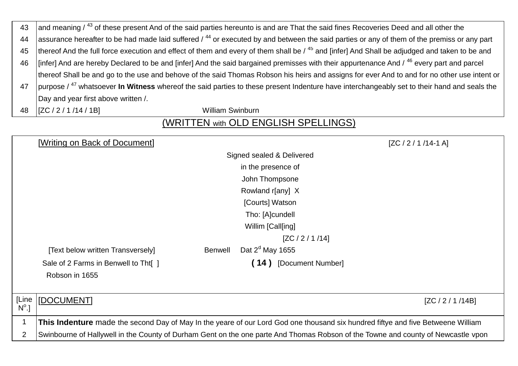| 43 | and meaning / 43 of these present And of the said parties hereunto is and are That the said fines Recoveries Deed and all other the                           |  |  |  |
|----|---------------------------------------------------------------------------------------------------------------------------------------------------------------|--|--|--|
| 44 | assurance hereafter to be had made laid suffered $/44$ or executed by and between the said parties or any of them of the premiss or any part                  |  |  |  |
| 45 | thereof And the full force execution and effect of them and every of them shall be / 45 and [infer] And Shall be adjudged and taken to be and                 |  |  |  |
| 46 | [[infer] And are hereby Declared to be and [infer] And the said bargained premisses with their appurtenance And / 46 every part and parcel                    |  |  |  |
|    | thereof Shall be and go to the use and behove of the said Thomas Robson his heirs and assigns for ever And to and for no other use intent or                  |  |  |  |
| 47 | purpose / <sup>47</sup> whatsoever <b>In Witness</b> whereof the said parties to these present Indenture have interchangeably set to their hand and seals the |  |  |  |
|    | Day and year first above written /.                                                                                                                           |  |  |  |
| 48 | $\left[ ZC / 2 / 1 / 14 / 1B \right]$<br><b>William Swinburn</b>                                                                                              |  |  |  |

# (WRITTEN with OLD ENGLISH SPELLINGS)

|                       | [Writing on Back of Document]                                                                                                     |                |                           | $[ZC / 2 / 1 / 14 - 1 A]$ |
|-----------------------|-----------------------------------------------------------------------------------------------------------------------------------|----------------|---------------------------|---------------------------|
|                       |                                                                                                                                   |                | Signed sealed & Delivered |                           |
|                       |                                                                                                                                   |                | in the presence of        |                           |
|                       |                                                                                                                                   |                | John Thompsone            |                           |
|                       |                                                                                                                                   |                | Rowland r[any] X          |                           |
|                       |                                                                                                                                   |                | [Courts] Watson           |                           |
|                       |                                                                                                                                   |                | Tho: [A]cundell           |                           |
|                       |                                                                                                                                   |                | Willim [Call[ing]         |                           |
|                       |                                                                                                                                   |                | [ZC / 2 / 1 / 14]         |                           |
|                       | [Text below written Transversely]                                                                                                 | <b>Benwell</b> | Dat $2d$ May 1655         |                           |
|                       | Sale of 2 Farms in Benwell to Tht[ ]                                                                                              |                | (14) [Document Number]    |                           |
|                       | Robson in 1655                                                                                                                    |                |                           |                           |
|                       |                                                                                                                                   |                |                           |                           |
| [Line<br>$N^{\circ}.$ | [DOCUMENT]                                                                                                                        |                |                           | [ZC / 2 / 1 / 14B]        |
| 1                     | This Indenture made the second Day of May In the yeare of our Lord God one thousand six hundred fiftye and five Betweene William  |                |                           |                           |
| $\overline{2}$        | Swinbourne of Hallywell in the County of Durham Gent on the one parte And Thomas Robson of the Towne and county of Newcastle vpon |                |                           |                           |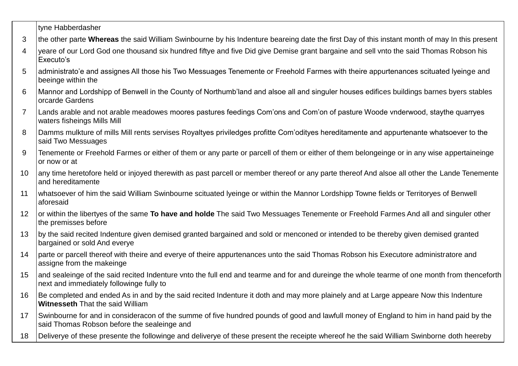#### tyne Habberdasher

- 3 the other parte **Whereas** the said William Swinbourne by his Indenture beareing date the first Day of this instant month of may In this present
- 4 yeare of our Lord God one thousand six hundred fiftye and five Did give Demise grant bargaine and sell vnto the said Thomas Robson his Executo's
- 5 administrato'e and assignes All those his Two Messuages Tenemente or Freehold Farmes with theire appurtenances scituated lyeinge and beeinge within the
- 6 Mannor and Lordshipp of Benwell in the County of Northumb'land and alsoe all and singuler houses edifices buildings barnes byers stables orcarde Gardens
- 7 Lands arable and not arable meadowes moores pastures feedings Com'ons and Com'on of pasture Woode vnderwood, staythe quarryes waters fisheings Mills Mill
- 8 Damms mulkture of mills Mill rents servises Royaltyes priviledges profitte Com'odityes hereditamente and appurtenante whatsoever to the said Two Messuages
- 9 Tenemente or Freehold Farmes or either of them or any parte or parcell of them or either of them belongeinge or in any wise appertaineinge or now or at
- 10 any time heretofore held or injoyed therewith as past parcell or member thereof or any parte thereof And alsoe all other the Lande Tenemente and hereditamente
- 11 whatsoever of him the said William Swinbourne scituated lyeinge or within the Mannor Lordshipp Towne fields or Territoryes of Benwell aforesaid
- 12 or within the libertyes of the same **To have and holde** The said Two Messuages Tenemente or Freehold Farmes And all and singuler other the premisses before
- 13 by the said recited Indenture given demised granted bargained and sold or menconed or intended to be thereby given demised granted bargained or sold And everye
- 14 parte or parcell thereof with theire and everye of theire appurtenances unto the said Thomas Robson his Executore administratore and assigne from the makeinge
- 15 and sealeinge of the said recited Indenture vnto the full end and tearme and for and dureinge the whole tearme of one month from thenceforth next and immediately followinge fully to
- 16 Be completed and ended As in and by the said recited Indenture it doth and may more plainely and at Large appeare Now this Indenture **Witnesseth** That the said William
- 17 Swinbourne for and in consideracon of the summe of five hundred pounds of good and lawfull money of England to him in hand paid by the said Thomas Robson before the sealeinge and
- 18 Deliverye of these presente the followinge and deliverye of these present the receipte whereof he the said William Swinborne doth heereby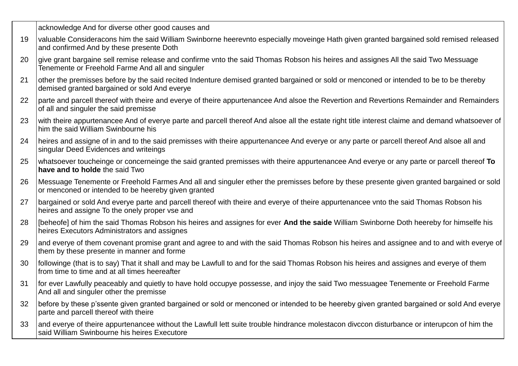|    | acknowledge And for diverse other good causes and                                                                                                                                              |
|----|------------------------------------------------------------------------------------------------------------------------------------------------------------------------------------------------|
| 19 | valuable Consideracons him the said William Swinborne heerevnto especially moveinge Hath given granted bargained sold remised released<br>and confirmed And by these presente Doth             |
| 20 | give grant bargaine sell remise release and confirme vnto the said Thomas Robson his heires and assignes All the said Two Messuage<br>Tenemente or Freehold Farme And all and singuler         |
| 21 | other the premisses before by the said recited Indenture demised granted bargained or sold or menconed or intended to be to be thereby<br>demised granted bargained or sold And everye         |
| 22 | parte and parcell thereof with theire and everye of theire appurtenancee And alsoe the Revertion and Revertions Remainder and Remainders<br>of all and singuler the said premisse              |
| 23 | with theire appurtenancee And of everye parte and parcell thereof And alsoe all the estate right title interest claime and demand whatsoever of<br>him the said William Swinbourne his         |
| 24 | heires and assigne of in and to the said premisses with theire appurtenancee And everye or any parte or parcell thereof And alsoe all and<br>singular Deed Evidences and writeings             |
| 25 | whatsoever toucheinge or concerneinge the said granted premisses with theire appurtenancee And everye or any parte or parcell thereof To<br>have and to holde the said Two                     |
| 26 | Messuage Tenemente or Freehold Farmes And all and singuler ether the premisses before by these presente given granted bargained or sold<br>or menconed or intended to be heereby given granted |
| 27 | bargained or sold And everye parte and parcell thereof with theire and everye of theire appurtenancee vnto the said Thomas Robson his<br>heires and assigne To the onely proper vse and        |
| 28 | [beheofe] of him the said Thomas Robson his heires and assignes for ever And the saide William Swinborne Doth heereby for himselfe his<br>heires Executors Administrators and assignes         |
| 29 | and everye of them covenant promise grant and agree to and with the said Thomas Robson his heires and assignee and to and with everye of<br>them by these presente in manner and forme         |
| 30 | followinge (that is to say) That it shall and may be Lawfull to and for the said Thomas Robson his heires and assignes and everye of them<br>from time to time and at all times heereafter     |
| 31 | for ever Lawfully peaceably and quietly to have hold occupye possesse, and injoy the said Two messuagee Tenemente or Freehold Farme<br>And all and singuler other the premisse                 |
| 32 | before by these p'ssente given granted bargained or sold or menconed or intended to be heereby given granted bargained or sold And everye<br>parte and parcell thereof with theire             |
| 33 | and everye of theire appurtenancee without the Lawfull lett suite trouble hindrance molestacon divccon disturbance or interupcon of him the<br>said William Swinbourne his heires Executore    |